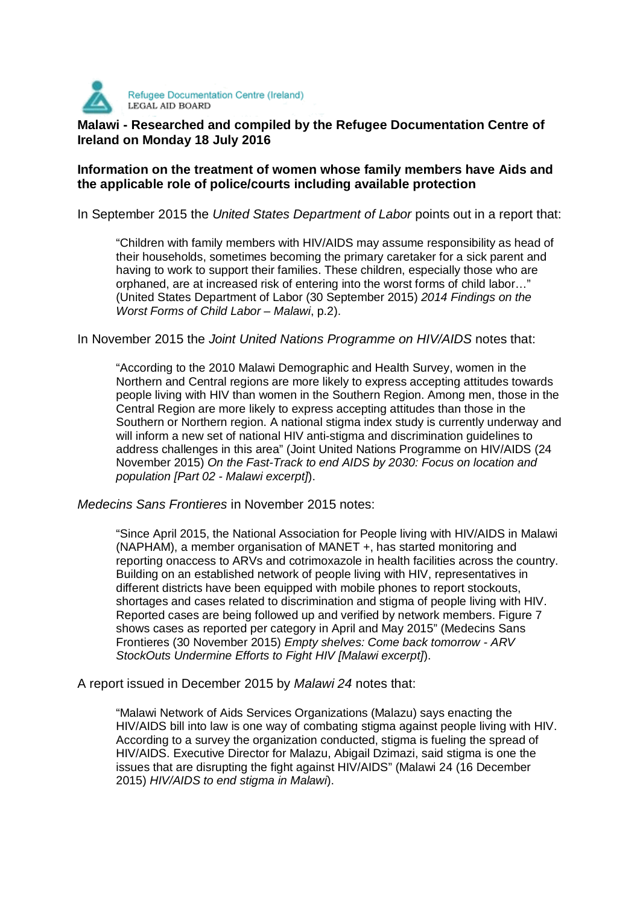

## **Malawi - Researched and compiled by the Refugee Documentation Centre of Malawi - Researched and compiled by the Refugee Documentation Centre of Ireland on Monday 18 July 2016**

## **Information on the treatment of women whose family members have Aids and the applicable role of police/courts including available protection**

In September 2015 the United States Department of Labor points out in a report that:

"Children with family members with HIV/AIDS may assume responsibility as head of their households, sometimes becoming the primary caretaker for a sick parent and having to work to support their families. These children, especially those who are orphaned, are at increased risk of entering into the worst forms of child labor…" (United States Department of Labor (30 September 2015) 2014 Findings on the Worst Forms of Child Labor – Malawi, p.2).

In November 2015 the Joint United Nations Programme on HIV/AIDS notes that:

"According to the 2010 Malawi Demographic and Health Survey, women in the Northern and Central regions are more likely to express accepting attitudes towards people living with HIV than women in the Southern Region. Among men, those in the Central Region are more likely to express accepting attitudes than those in the Southern or Northern region. A national stigma index study is currently underway and will inform a new set of national HIV anti-stigma and discrimination guidelines to address challenges in this area" (Joint United Nations Programme on HIV/AIDS (24 November 2015) On the Fast-Track to end AIDS by 2030: Focus on location and population [Part 02 - Malawi excerpt]).

Medecins Sans Frontieres in November 2015 notes:

"Since April 2015, the National Association for People living with HIV/AIDS in Malawi (NAPHAM), a member organisation of MANET +, has started monitoring and reporting onaccess to ARVs and cotrimoxazole in health facilities across the country. Building on an established network of people living with HIV, representatives in different districts have been equipped with mobile phones to report stockouts, shortages and cases related to discrimination and stigma of people living with HIV. Reported cases are being followed up and verified by network members. Figure 7 shows cases as reported per category in April and May 2015" (Medecins Sans Frontieres (30 November 2015) Empty shelves: Come back tomorrow - ARV StockOuts Undermine Efforts to Fight HIV [Malawi excerpt]).

A report issued in December 2015 by Malawi 24 notes that:

"Malawi Network of Aids Services Organizations (Malazu) says enacting the HIV/AIDS bill into law is one way of combating stigma against people living with HIV. According to a survey the organization conducted, stigma is fueling the spread of HIV/AIDS. Executive Director for Malazu, Abigail Dzimazi, said stigma is one the issues that are disrupting the fight against HIV/AIDS" (Malawi 24 (16 December 2015) HIV/AIDS to end stigma in Malawi).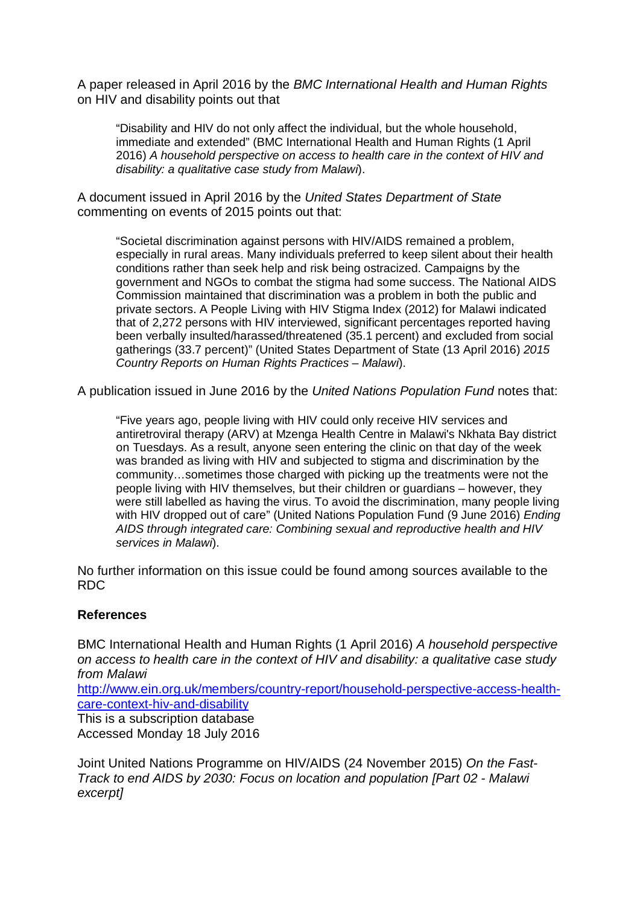A paper released in April 2016 by the BMC International Health and Human Rights on HIV and disability points out that

"Disability and HIV do not only affect the individual, but the whole household, immediate and extended" (BMC International Health and Human Rights (1 April 2016) A household perspective on access to health care in the context of HIV and disability: a qualitative case study from Malawi).

A document issued in April 2016 by the United States Department of State commenting on events of 2015 points out that:

"Societal discrimination against persons with HIV/AIDS remained a problem, especially in rural areas. Many individuals preferred to keep silent about their health conditions rather than seek help and risk being ostracized. Campaigns by the government and NGOs to combat the stigma had some success. The National AIDS Commission maintained that discrimination was a problem in both the public and private sectors. A People Living with HIV Stigma Index (2012) for Malawi indicated that of 2,272 persons with HIV interviewed, significant percentages reported having been verbally insulted/harassed/threatened (35.1 percent) and excluded from social gatherings (33.7 percent)" (United States Department of State (13 April 2016) 2015 Country Reports on Human Rights Practices – Malawi).

A publication issued in June 2016 by the United Nations Population Fund notes that:

"Five years ago, people living with HIV could only receive HIV services and antiretroviral therapy (ARV) at Mzenga Health Centre in Malawi's Nkhata Bay district on Tuesdays. As a result, anyone seen entering the clinic on that day of the week was branded as living with HIV and subjected to stigma and discrimination by the community…sometimes those charged with picking up the treatments were not the people living with HIV themselves, but their children or guardians – however, they were still labelled as having the virus. To avoid the discrimination, many people living with HIV dropped out of care" (United Nations Population Fund (9 June 2016) Ending AIDS through integrated care: Combining sexual and reproductive health and HIV services in Malawi).

No further information on this issue could be found among sources available to the RDC

## **References**

BMC International Health and Human Rights (1 April 2016) A household perspective on access to health care in the context of HIV and disability: a qualitative case study from Malawi

http://www.ein.org.uk/members/country-report/household-perspective-access-healthcare-context-hiv-and-disability

This is a subscription database Accessed Monday 18 July 2016

Joint United Nations Programme on HIV/AIDS (24 November 2015) On the Fast-Track to end AIDS by 2030: Focus on location and population [Part 02 - Malawi excerpt]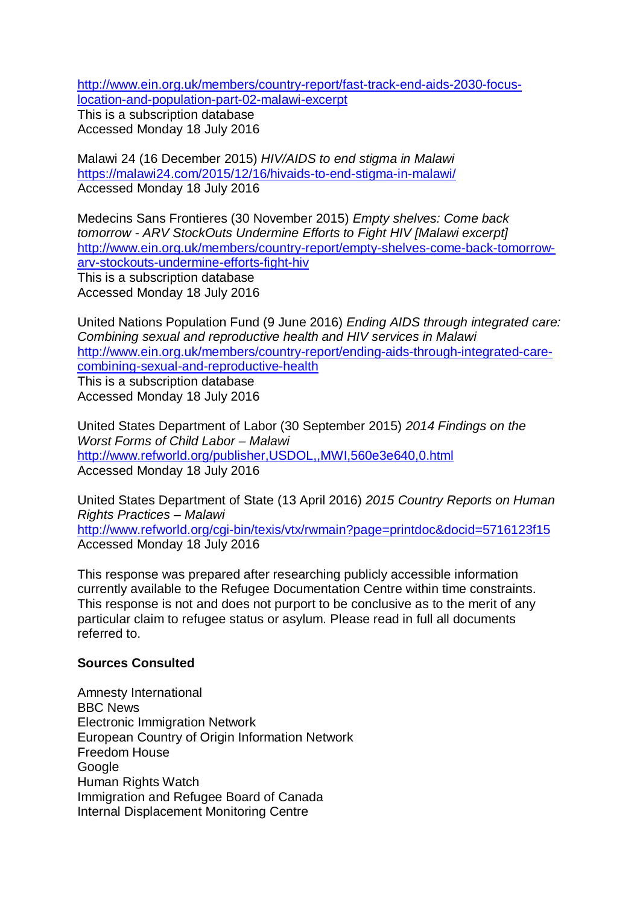http://www.ein.org.uk/members/country-report/fast-track-end-aids-2030-focuslocation-and-population-part-02-malawi-excerpt

This is a subscription database Accessed Monday 18 July 2016

Malawi 24 (16 December 2015) HIV/AIDS to end stigma in Malawi https://malawi24.com/2015/12/16/hivaids-to-end-stigma-in-malawi/ Accessed Monday 18 July 2016

Medecins Sans Frontieres (30 November 2015) Empty shelves: Come back tomorrow - ARV StockOuts Undermine Efforts to Fight HIV [Malawi excerpt] http://www.ein.org.uk/members/country-report/empty-shelves-come-back-tomorrowarv-stockouts-undermine-efforts-fight-hiv This is a subscription database Accessed Monday 18 July 2016

United Nations Population Fund (9 June 2016) Ending AIDS through integrated care: Combining sexual and reproductive health and HIV services in Malawi http://www.ein.org.uk/members/country-report/ending-aids-through-integrated-carecombining-sexual-and-reproductive-health This is a subscription database Accessed Monday 18 July 2016

United States Department of Labor (30 September 2015) 2014 Findings on the Worst Forms of Child Labor – Malawi http://www.refworld.org/publisher,USDOL,,MWI,560e3e640,0.html Accessed Monday 18 July 2016

United States Department of State (13 April 2016) 2015 Country Reports on Human Rights Practices – Malawi http://www.refworld.org/cgi-bin/texis/vtx/rwmain?page=printdoc&docid=5716123f15 Accessed Monday 18 July 2016

This response was prepared after researching publicly accessible information currently available to the Refugee Documentation Centre within time constraints. This response is not and does not purport to be conclusive as to the merit of any particular claim to refugee status or asylum. Please read in full all documents referred to.

## **Sources Consulted**

Amnesty International BBC News Electronic Immigration Network European Country of Origin Information Network Freedom House **Google** Human Rights Watch Immigration and Refugee Board of Canada Internal Displacement Monitoring Centre